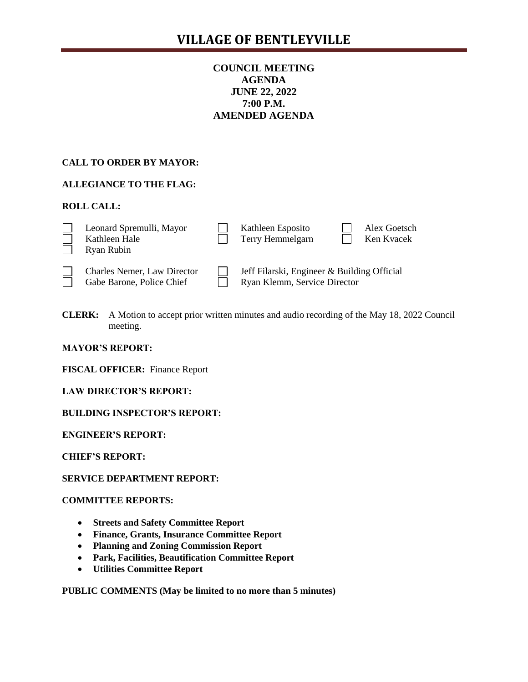# **COUNCIL MEETING AGENDA JUNE 22, 2022 7:00 P.M. AMENDED AGENDA**

# **CALL TO ORDER BY MAYOR:**

# **ALLEGIANCE TO THE FLAG:**

# **ROLL CALL:**

| Leonard Spremulli, Mayor<br>Kathleen Hale<br>Ryan Rubin         | Kathleen Esposito<br>Terry Hemmelgarn                                       |  | Alex Goetsch<br>Ken Kvacek |
|-----------------------------------------------------------------|-----------------------------------------------------------------------------|--|----------------------------|
| <b>Charles Nemer, Law Director</b><br>Gabe Barone, Police Chief | Jeff Filarski, Engineer & Building Official<br>Ryan Klemm, Service Director |  |                            |

**CLERK:** A Motion to accept prior written minutes and audio recording of the May 18, 2022 Council meeting.

#### **MAYOR'S REPORT:**

**FISCAL OFFICER:** Finance Report

**LAW DIRECTOR'S REPORT:**

**BUILDING INSPECTOR'S REPORT:**

**ENGINEER'S REPORT:**

**CHIEF'S REPORT:**

# **SERVICE DEPARTMENT REPORT:**

# **COMMITTEE REPORTS:**

- **Streets and Safety Committee Report**
- **Finance, Grants, Insurance Committee Report**
- **Planning and Zoning Commission Report**
- **Park, Facilities, Beautification Committee Report**
- **Utilities Committee Report**

**PUBLIC COMMENTS (May be limited to no more than 5 minutes)**